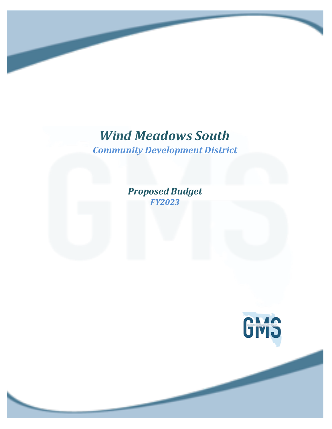*Community Development District*

*Proposed Budget FY2023*

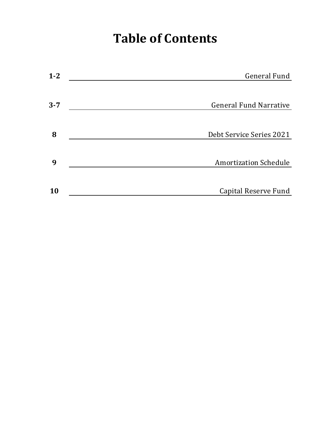# **Table of Contents**

| $1 - 2$ | <b>General Fund</b>           |
|---------|-------------------------------|
|         |                               |
| $3 - 7$ | <b>General Fund Narrative</b> |
|         |                               |
| 8       | Debt Service Series 2021      |
|         |                               |
| 9       | <b>Amortization Schedule</b>  |
|         |                               |
| 10      | Capital Reserve Fund          |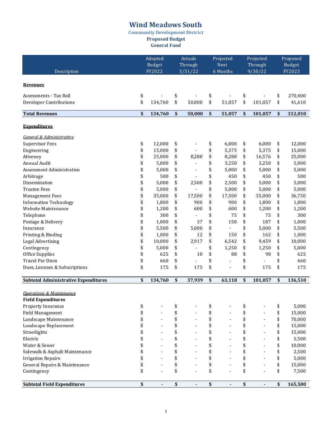**Community Development District**

**Proposed Budget**

**General Fund** 

|                                                                  | Adopted<br><b>Budget</b> |         | Actuals<br>Through |         | Projected<br><b>Next</b> | Projected<br>Through | Proposed<br><b>Budget</b> |         |  |
|------------------------------------------------------------------|--------------------------|---------|--------------------|---------|--------------------------|----------------------|---------------------------|---------|--|
| Description                                                      |                          | FY2022  |                    | 3/31/22 | 6 Months                 | 9/30/22              |                           | FY2023  |  |
| <b>Revenues</b>                                                  |                          |         |                    |         |                          |                      |                           |         |  |
| Assessments - Tax Roll                                           | \$                       |         | \$                 |         | \$                       | \$                   | \$                        | 270,400 |  |
| Developer Contributions                                          | \$                       | 134,760 | \$                 | 50,000  | \$<br>51,057             | \$<br>101,057        | \$                        | 41,610  |  |
| <b>Total Revenues</b>                                            | \$                       | 134,760 | \$                 | 50,000  | \$<br>51,057             | \$<br>101,057        | \$                        | 312,010 |  |
| <b>Expenditures</b>                                              |                          |         |                    |         |                          |                      |                           |         |  |
| General & Administrative                                         |                          |         |                    |         |                          |                      |                           |         |  |
| <b>Supervisor Fees</b>                                           | \$                       | 12,000  | \$                 |         | \$<br>6,000              | \$<br>6,000          | \$                        | 12,000  |  |
| Engineering                                                      | \$                       | 15,000  | \$                 |         | \$<br>5,375              | \$<br>5,375          | \$                        | 15,000  |  |
| Attorney                                                         | \$                       | 25,000  | \$                 | 8,288   | \$<br>8,288              | \$<br>16,576         | \$                        | 25,000  |  |
| Annual Audit                                                     | \$                       | 5,000   | \$                 |         | \$<br>3,250              | \$<br>3,250          | \$                        | 5,000   |  |
| <b>Assessment Administration</b>                                 | \$                       | 5,000   | \$                 |         | \$<br>5,000              | \$<br>5,000          | \$                        | 5,000   |  |
| Arbitrage                                                        | \$                       | 500     | \$                 |         | \$<br>450                | \$<br>450            | \$                        | 500     |  |
| Dissemination                                                    | \$                       | 5,000   | \$                 | 2,500   | \$<br>2,500              | \$<br>5,000          | \$                        | 5,000   |  |
| <b>Trustee Fees</b>                                              | \$                       | 5,000   | \$                 |         | \$<br>5,000              | \$<br>5,000          | \$                        | 5,000   |  |
| <b>Management Fees</b>                                           | \$                       | 35,000  | \$                 | 17,500  | \$<br>17,500             | \$<br>35,000         | \$                        | 36,750  |  |
| <b>Information Technology</b>                                    | \$                       | 1,800   | \$                 | 900     | \$<br>900                | \$<br>1,800          | \$                        | 1,800   |  |
| Website Maintenance                                              | \$                       | 1,200   | \$                 | 600     | \$<br>600                | \$<br>1,200          | \$                        | 1,200   |  |
| Telephone                                                        | \$                       | 300     | \$                 |         | \$<br>75                 | \$<br>75             | \$                        | 300     |  |
| Postage & Delivery                                               | \$                       | 1,000   | \$                 | 37      | \$<br>150                | \$<br>187            | \$                        | 1,000   |  |
| Insurance                                                        | \$                       | 5,500   | \$                 | 5,000   | \$                       | \$<br>5,000          | \$                        | 5,500   |  |
| Printing & Binding                                               | \$                       | 1,000   | \$                 | 12      | \$<br>150                | \$<br>162            | \$                        | 1,000   |  |
| Legal Advertising                                                | \$                       | 10,000  | \$                 | 2,917   | \$<br>6,542              | \$<br>9,459          | \$                        | 10,000  |  |
| Contingency                                                      | \$                       | 5,000   | \$                 |         | \$<br>1,250              | \$<br>1,250          | \$                        | 5,000   |  |
| Office Supplies                                                  | \$                       | 625     | \$                 | 10      | \$<br>88                 | \$<br>98             | \$                        | 625     |  |
| Travel Per Diem                                                  | \$                       | 660     | \$                 |         | \$                       | \$                   | \$                        | 660     |  |
| Dues, Licenses & Subscriptions                                   | \$                       | 175     | \$                 | 175     | \$                       | \$<br>175            | \$                        | 175     |  |
| <b>Subtotal Administrative Expenditures</b>                      | \$                       | 134,760 | \$                 | 37,939  | \$<br>63,118             | \$<br>101,057        | \$                        | 136,510 |  |
| <b>Operations &amp; Maintenance</b><br><b>Field Expenditures</b> |                          |         |                    |         |                          |                      |                           |         |  |
| Property Insurance                                               | \$                       |         | \$                 |         | \$                       | \$                   | \$                        | 5,000   |  |
| Field Management                                                 | \$                       |         | \$                 |         | \$                       | \$<br>÷,             | \$                        | 15,000  |  |
| Landscape Maintenance                                            | \$                       |         | \$                 |         | \$                       | \$<br>$\overline{a}$ | \$                        | 70,000  |  |
| Landscape Replacement                                            | \$                       |         | \$                 |         | \$                       | \$<br>$\overline{a}$ | \$                        | 15,000  |  |
| Streetlights                                                     | \$                       |         | \$                 |         | \$                       | \$<br>$\overline{a}$ | \$                        | 15,000  |  |
| Electric                                                         | \$                       |         | \$                 |         | \$                       | \$<br>$\overline{a}$ | \$                        | 5,500   |  |
| Water & Sewer                                                    | \$                       |         | \$                 |         | \$                       | \$<br>$\overline{a}$ | \$                        | 10,000  |  |
| Sidewalk & Asphalt Maintenance                                   | \$                       |         | \$                 |         | \$                       | \$<br>$\overline{a}$ | \$                        | 2,500   |  |
| <b>Irrigation Repairs</b>                                        | \$                       |         | \$                 |         | \$                       | \$<br>÷,             | \$                        | 5,000   |  |
| General Repairs & Maintenance                                    | \$                       |         | \$                 |         | \$                       | \$<br>÷,             | \$                        | 15,000  |  |
| Contingency                                                      | \$                       |         | \$                 |         | \$                       | \$                   | \$                        | 7,500   |  |
| <b>Subtotal Field Expenditures</b>                               | \$                       | ä,      | \$                 |         | \$                       | \$                   | \$                        | 165,500 |  |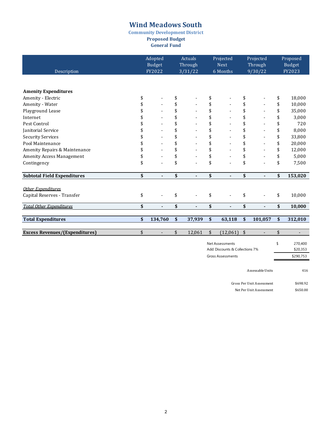**Community Development District Proposed Budget**

**General Fund** 

| Description                           | Adopted<br><b>Budget</b><br>FY2022 | Actuals<br>Through<br>3/31/22 | Projected<br><b>Next</b><br>6 Months | Projected<br>Through<br>9/30/22 | Proposed<br><b>Budget</b><br>FY2023 |                          |
|---------------------------------------|------------------------------------|-------------------------------|--------------------------------------|---------------------------------|-------------------------------------|--------------------------|
|                                       |                                    |                               |                                      |                                 |                                     |                          |
| <b>Amenity Expenditures</b>           |                                    |                               |                                      |                                 |                                     |                          |
| Amenity - Electric                    | \$                                 | \$                            | \$                                   | \$                              | \$                                  | 18,000                   |
| Amenity - Water                       |                                    | \$                            | \$                                   | \$                              | \$                                  | 10,000                   |
| Playground Lease                      |                                    | \$                            | \$                                   | \$                              | \$                                  | 35,000                   |
| Internet                              |                                    | \$                            | \$                                   | \$                              | \$                                  | 3,000                    |
| Pest Control                          |                                    | \$                            | \$                                   |                                 | \$                                  | 720                      |
| Janitorial Service                    |                                    | \$                            | \$                                   |                                 | \$                                  | 8,000                    |
| <b>Security Services</b>              |                                    | \$                            | \$                                   |                                 | \$                                  | 33,800                   |
| Pool Maintenance                      |                                    | \$                            | \$                                   |                                 | \$                                  | 20,000                   |
| Amenity Repairs & Maintenance         |                                    | \$                            | \$                                   |                                 | \$                                  | 12,000                   |
| Amenity Access Management             |                                    | \$                            | \$                                   |                                 | \$                                  | 5,000                    |
| Contingency                           | \$                                 | \$                            | \$                                   | \$                              | \$                                  | 7,500                    |
| <b>Subtotal Field Expenditures</b>    | \$<br>$\overline{a}$               | \$<br>$\blacksquare$          | \$                                   | \$                              | \$                                  | 153,020                  |
| Other Expenditures                    |                                    |                               |                                      |                                 |                                     |                          |
| Capital Reserves - Transfer           | \$                                 | \$                            | \$                                   | \$                              | \$                                  | 10,000                   |
| <b>Total Other Expenditures</b>       | \$<br>٠                            | \$<br>$\blacksquare$          | \$                                   | \$                              | \$                                  | 10,000                   |
|                                       |                                    |                               |                                      |                                 |                                     |                          |
| <b>Total Expenditures</b>             | \$<br>134,760                      | \$<br>37,939                  | \$<br>63,118                         | \$<br>101,057                   | \$                                  | 312,010                  |
| <b>Excess Revenues/(Expenditures)</b> | \$<br>$\overline{\phantom{a}}$     | \$<br>12,061                  | \$<br>$(12,061)$ \$                  | $\overline{a}$                  | \$                                  | $\overline{\phantom{a}}$ |
|                                       |                                    |                               |                                      |                                 |                                     |                          |
|                                       |                                    |                               | Not Accoccmonts                      |                                 | ¢                                   | 270.400                  |

| Net Assessments                 | ٢ | 270,400   |
|---------------------------------|---|-----------|
| Add: Discounts & Collections 7% |   | \$20.353  |
| <b>Gross Assessments</b>        |   | \$290.753 |
|                                 |   |           |

Assessable Units 416

Gross Per Unit Assessment \$698.92 Net Per Unit Assessment \$650.00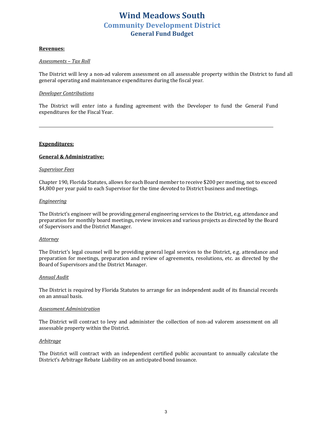### **Wind Meadows South Community Development District General Fund Budget**

#### **Revenues:**

#### *Assessments – Tax Roll*

The District will levy a non-ad valorem assessment on all assessable property within the District to fund all general operating and maintenance expenditures during the fiscal year.

#### *Developer Contributions*

The District will enter into a funding agreement with the Developer to fund the General Fund expenditures for the Fiscal Year.

#### **Expenditures:**

#### **General & Administrative:**

#### *Supervisor Fees*

Chapter 190, Florida Statutes, allows for each Board member to receive \$200 per meeting, not to exceed \$4,800 per year paid to each Supervisor for the time devoted to District business and meetings.

#### *Engineering*

The District's engineer will be providing general engineering services to the District, e.g. attendance and preparation for monthly board meetings, review invoices and various projects as directed by the Board of Supervisors and the District Manager.

#### *Attorney*

The District's legal counsel will be providing general legal services to the District, e.g. attendance and preparation for meetings, preparation and review of agreements, resolutions, etc. as directed by the Board of Supervisors and the District Manager.

#### *Annual Audit*

The District is required by Florida Statutes to arrange for an independent audit of its financial records on an annual basis.

#### *Assessment Administration*

The District will contract to levy and administer the collection of non-ad valorem assessment on all assessable property within the District.

#### *Arbitrage*

The District will contract with an independent certified public accountant to annually calculate the District's Arbitrage Rebate Liability on an anticipated bond issuance.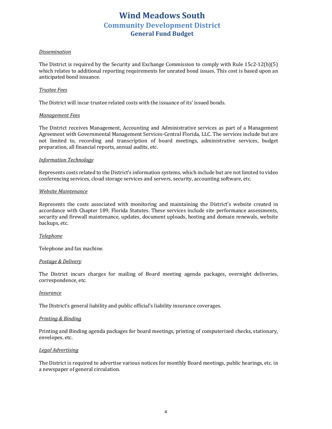### **Wind Meadows South Community Development District General Fund Budget**

#### *Dissemination*

The District is required by the Security and Exchange Commission to comply with Rule  $15c2-12(b)(5)$ which relates to additional reporting requirements for unrated bond issues. This cost is based upon an anticipated bond issuance.

#### *Trustee Fees*

The District will incur trustee related costs with the issuance of its' issued bonds.

#### *Management Fees*

The District receives Management, Accounting and Administrative services as part of a Management Agreement with Governmental Management Services-Central Florida, LLC. The services include but are not limited to, recording and transcription of board meetings, administrative services, budget preparation, all financial reports, annual audits, etc.

#### *Information Technology*

Represents costs related to the District's information systems, which include but are not limited to video conferencing services, cloud storage services and servers, security, accounting software, etc.

#### *Website Maintenance*

Represents the costs associated with monitoring and maintaining the District's website created in accordance with Chapter 189, Florida Statutes. These services include site performance assessments, security and firewall maintenance, updates, document uploads, hosting and domain renewals, website backups, etc.

#### *Telephone*

Telephone and fax machine.

#### *Postage & Delivery*

The District incurs charges for mailing of Board meeting agenda packages, overnight deliveries, correspondence, etc.

#### *Insurance*

The District's general liability and public official's liability insurance coverages.

#### **Printing & Binding**

Printing and Binding agenda packages for board meetings, printing of computerized checks, stationary, envelopes, etc.

#### *Legal Advertising*

The District is required to advertise various notices for monthly Board meetings, public hearings, etc. in a newspaper of general circulation.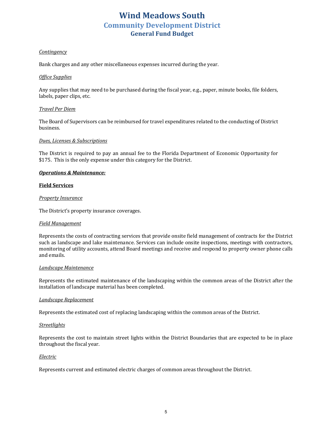## **Wind Meadows South Community Development District General Fund Budget**

#### *Contingency*

Bank charges and any other miscellaneous expenses incurred during the year.

#### *Office Supplies*

Any supplies that may need to be purchased during the fiscal year, e.g., paper, minute books, file folders, labels, paper clips, etc.

#### *Travel Per Diem*

The Board of Supervisors can be reimbursed for travel expenditures related to the conducting of District business.

#### *Dues, Licenses & Subscriptions*

The District is required to pay an annual fee to the Florida Department of Economic Opportunity for \$175. This is the only expense under this category for the District.

#### **Operations & Maintenance:**

#### **Field Services**

#### *Property Insurance*

The District's property insurance coverages.

#### *Field Management*

Represents the costs of contracting services that provide onsite field management of contracts for the District such as landscape and lake maintenance. Services can include onsite inspections, meetings with contractors, monitoring of utility accounts, attend Board meetings and receive and respond to property owner phone calls and emails.

#### *Landscape Maintenance*

Represents the estimated maintenance of the landscaping within the common areas of the District after the installation of landscape material has been completed.

#### *Landscape Replacement*

Represents the estimated cost of replacing landscaping within the common areas of the District.

#### *Streetlights*

Represents the cost to maintain street lights within the District Boundaries that are expected to be in place throughout the fiscal year.

#### *Electric*

Represents current and estimated electric charges of common areas throughout the District.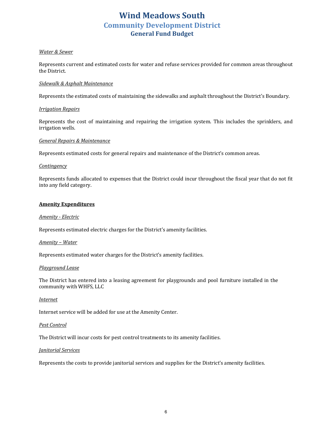### **Wind Meadows South Community Development District General Fund Budget**

#### *Water & Sewer*

Represents current and estimated costs for water and refuse services provided for common areas throughout the District.

#### *Sidewalk & Asphalt Maintenance*

Represents the estimated costs of maintaining the sidewalks and asphalt throughout the District's Boundary.

#### *Irrigation Repairs*

Represents the cost of maintaining and repairing the irrigation system. This includes the sprinklers, and irrigation wells.

#### *General Repairs & Maintenance*

Represents estimated costs for general repairs and maintenance of the District's common areas.

#### *Contingency*

Represents funds allocated to expenses that the District could incur throughout the fiscal year that do not fit into any field category.

#### **Amenity Expenditures**

#### *Amenity - Electric*

Represents estimated electric charges for the District's amenity facilities.

#### *Amenity – Water*

Represents estimated water charges for the District's amenity facilities.

#### *Playground Lease*

The District has entered into a leasing agreement for playgrounds and pool furniture installed in the community with WHFS, LLC

#### *Internet*

Internet service will be added for use at the Amenity Center.

#### *Pest Control*

The District will incur costs for pest control treatments to its amenity facilities.

#### *Janitorial Services*

Represents the costs to provide janitorial services and supplies for the District's amenity facilities.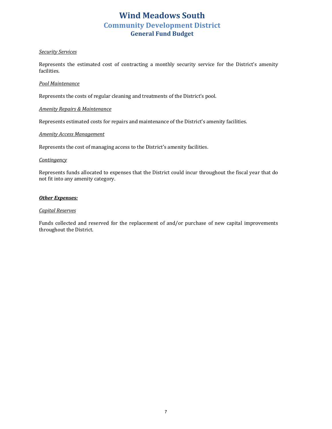### **Wind Meadows South Community Development District General Fund Budget**

#### *Security Services*

Represents the estimated cost of contracting a monthly security service for the District's amenity facilities.

#### *Pool Maintenance*

Represents the costs of regular cleaning and treatments of the District's pool.

#### **Amenity Repairs & Maintenance**

Represents estimated costs for repairs and maintenance of the District's amenity facilities.

#### *Amenity Access Management*

Represents the cost of managing access to the District's amenity facilities.

#### *Contingency*

Represents funds allocated to expenses that the District could incur throughout the fiscal year that do not fit into any amenity category.

#### **Other Expenses:**

#### *Capital Reserves*

Funds collected and reserved for the replacement of and/or purchase of new capital improvements throughout the District.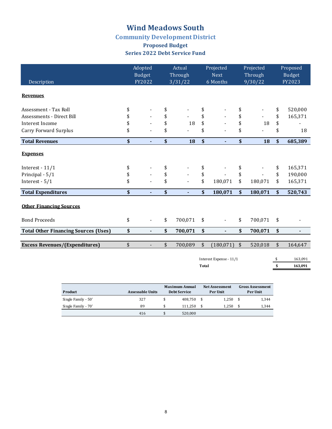### **Community Development District**

### **Proposed Budget Series 2022 Debt Service Fund**

| Description                                 |               | Adopted<br><b>Budget</b><br>FY2022 | Actual<br>Through<br>3/31/22   |              | Projected<br><b>Next</b><br>6 Months | Projected<br>Through<br>9/30/22 |         | Proposed<br><b>Budget</b><br>FY2023 |                |
|---------------------------------------------|---------------|------------------------------------|--------------------------------|--------------|--------------------------------------|---------------------------------|---------|-------------------------------------|----------------|
| <b>Revenues</b>                             |               |                                    |                                |              |                                      |                                 |         |                                     |                |
| Assessment - Tax Roll                       | \$            |                                    | \$                             | \$           |                                      | \$                              |         | \$                                  | 520,000        |
| Assessments - Direct Bill                   | \$            |                                    | \$                             | \$           |                                      | \$                              |         | \$                                  | 165,371        |
| Interest Income                             | \$            |                                    | \$<br>18                       | \$           |                                      | \$                              | 18      | \$                                  |                |
| Carry Forward Surplus                       | \$            |                                    | \$                             | \$           |                                      | \$                              |         | \$                                  | 18             |
| <b>Total Revenues</b>                       | \$            | $\overline{\phantom{a}}$           | \$<br>18                       | \$           | $\overline{\phantom{a}}$             | \$                              | 18      | \$                                  | 685,389        |
| <b>Expenses</b>                             |               |                                    |                                |              |                                      |                                 |         |                                     |                |
| Interest - $11/1$                           | \$            |                                    | \$                             | \$           |                                      | \$                              |         | \$                                  | 165,371        |
| Principal - 5/1                             | \$            |                                    | \$<br>$\overline{\phantom{a}}$ | \$           |                                      | \$                              |         | \$                                  | 190,000        |
| Interest - 5/1                              | \$            |                                    | \$                             | \$           | 180,071                              | \$                              | 180,071 | \$                                  | 165,371        |
| <b>Total Expenditures</b>                   | \$            | ä,                                 | \$<br>÷.                       | \$           | 180,071                              | $\boldsymbol{\mathsf{s}}$       | 180,071 | $\boldsymbol{\mathsf{s}}$           | 520,743        |
| <b>Other Financing Sources</b>              |               |                                    |                                |              |                                      |                                 |         |                                     |                |
| <b>Bond Proceeds</b>                        | \$            | $\blacksquare$                     | \$<br>700,071                  | \$           |                                      | \$                              | 700,071 | \$                                  |                |
| <b>Total Other Financing Sources (Uses)</b> | \$            | $\overline{\phantom{a}}$           | \$<br>700,071                  | \$           | $\overline{\phantom{a}}$             | \$                              | 700,071 | \$                                  | $\blacksquare$ |
| <b>Excess Revenues/(Expenditures)</b>       | $\frac{1}{2}$ | $\overline{\phantom{a}}$           | \$<br>700,089                  | \$           | (180, 071)                           | $\sqrt{2}$                      | 520,018 | \$                                  | 164,647        |
|                                             |               |                                    |                                |              |                                      |                                 |         |                                     |                |
|                                             |               |                                    |                                |              | Interest Expense - 11/1              |                                 |         | \$                                  | 163,091        |
|                                             |               |                                    |                                | <b>Total</b> |                                      |                                 |         | \$                                  | 163,091        |
|                                             |               |                                    |                                |              |                                      |                                 |         |                                     |                |

| Product             | Assessable Units | <b>Maximum Annual</b><br><b>Debt Service</b> |         |     | <b>Net Assessment</b><br>Per Unit | <b>Gross Assessment</b><br>Per Unit |       |  |
|---------------------|------------------|----------------------------------------------|---------|-----|-----------------------------------|-------------------------------------|-------|--|
| Single Family - 50' | 327              |                                              | 408.750 | - S | 1.250                             | - \$                                | 1.344 |  |
| Single Family - 70' | 89               |                                              | 111.250 |     | 1.250                             |                                     | 1.344 |  |
|                     | 416              |                                              | 520.000 |     |                                   |                                     |       |  |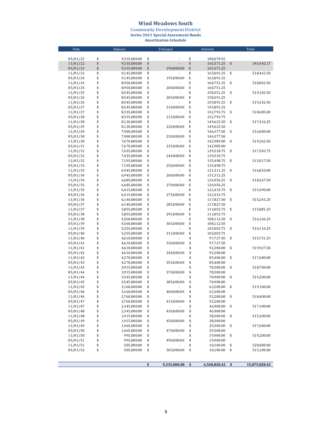#### **Wind Meadows South**

**Community Development District<br>Series 2021 Special Assessment Bonds<br>Amortization Schedule** 

| Date                 |          | Balance                      |          | Prinicpal      |              | Interest                 |              | Total         |
|----------------------|----------|------------------------------|----------|----------------|--------------|--------------------------|--------------|---------------|
|                      |          |                              |          |                |              |                          |              |               |
| 05/01/22             | \$       | 9,335,000.00                 | \$       |                | \$           | 180,070.92               |              |               |
| 11/01/22             | \$       | 9,335,000.00                 | \$       |                | \$           | 165,371.25               | \$           | 345,442.17    |
| 05/01/23             | \$       | 9,335,000.00                 | \$       | 190,000.00     | \$           | 165,371.25               |              |               |
| 11/01/23             | \$       | 9,145,000.00                 | \$       |                | \$           | 163,091.25               | \$           | 518,462.50    |
| 05/01/24             | \$       | 9,145,000.00                 | \$       | 195,000.00     | \$           | 163,091.25               |              |               |
| 11/01/24             | \$       | 8,950,000.00                 | \$       |                | \$           | 160,751.25               | \$           | 518,842.50    |
| 05/01/25             | \$       | 8,950,000.00                 | \$       | 200,000.00     | \$           | 160,751.25               |              |               |
| 11/01/25             | \$       | 8,545,000.00                 | \$       |                | \$           | 158,351.25               | \$           | 519,102.50    |
| 05/01/26             | \$       | 8,545,000.00                 | \$       | 205,000.00     | \$           | 158,351.25               |              |               |
| 11/01/26             | \$       | 8,545,000.00                 | \$       |                | \$           | 155,891.25               | \$           | 519,242.50    |
| 05/01/27             | \$       | 8,545,000.00                 | \$       | 210,000.00     | \$           | 155,891.25               |              |               |
| 11/01/27             | \$<br>\$ | 8,335,000.00                 | \$<br>\$ |                | \$<br>\$     | 152,793.75               | \$           | 518,685.00    |
| 05/01/28             | \$       | 8,335,000.00<br>8,120,000.00 | \$       | 215,000.00     | \$           | 152,793.75<br>149,622.50 | \$           | 517,416.25    |
| 11/01/28             | \$       | 8,120,000.00                 | \$       | 220,000.00     | \$           | 149,622.50               |              |               |
| 05/01/29<br>11/01/29 | \$       | 7,900,000.00                 | \$       |                | \$           | 146,377.50               | \$           | 516,000.00    |
| 05/01/30             | \$       | 7,900,000.00                 | \$       | 230,000.00     | \$           | 146,377.50               |              |               |
| 11/01/30             | \$       | 7,670,000.00                 | \$       |                | \$           | 142,985.00               | \$           | 519,362.50    |
| 05/01/31             | \$       | 7,670,000.00                 | \$       | 235,000.00     | \$           | 142,985.00               |              |               |
| 11/01/31             | \$       | 7,435,000.00                 | \$       |                | \$           | 139,518.75               | \$           | 517,503.75    |
| 05/01/32             | \$       | 7,435,000.00                 | \$       | 240,000.00     | \$           | 139,518.75               |              |               |
| 11/01/32             | \$       | 7,195,000.00                 | \$       |                | \$           | 135,498.75               | \$           | 515,017.50    |
| 05/01/33             | \$       | 7,195,000.00                 | \$       | 250,000.00     | \$           | 135,498.75               |              |               |
| 11/01/33             | \$       | 6,945,000.00                 | \$       |                | \$           | 131,311.25               | \$           | 516,810.00    |
| 05/01/34             | \$       | 6,945,000.00                 | \$       | 260,000.00     | \$           | 131,311.25               |              |               |
| 11/01/34             | \$       | 6,685,000.00                 | \$       |                | \$           | 126,956.25               | \$           | 518,267.50    |
| 05/01/35             | \$       | 6,685,000.00                 | \$       | 270,000.00     | \$           | 126,956.25               |              |               |
| 11/01/35             | \$       | 6,415,000.00                 | \$       |                | \$           | 122,433.75               | \$           | 519,390.00    |
| 05/01/36             | \$       | 6,415,000.00                 | \$       | 275,000.00     | \$           | 122,433.75               |              |               |
| 11/01/36             | \$       | 6,140,000.00                 | \$       |                | \$           | 117,827.50               | \$           | 515,261.25    |
| 05/01/37             | \$       | 6,140,000.00                 | \$       | 285,000.00     | \$           | 117,827.50               |              |               |
| 11/01/37             | \$       | 5,855,000.00                 | \$       |                | \$           | 113,053.75               | \$           | 515,881.25    |
| 05/01/38             | \$       | 5,855,000.00                 | \$       | 295,000.00     | \$           | 113,053.75               |              |               |
| 11/01/38             | \$       | 5,560,000.00                 | \$       |                | \$           | 108,112.50               | \$           | 516,166.25    |
| 05/01/39             | \$       | 5,560,000.00                 | \$       | 305,000.00     | \$           | 108,112.50               |              |               |
| 11/01/39             | \$       | 5,255,000.00                 | \$       |                | \$           | 103,003.75               | \$           | 516,116.25    |
| 05/01/40             | \$       | 5,255,000.00                 | \$       | 315,000.00     | \$           | 103,003.75               |              |               |
| 11/01/40             | \$       | 4,610,000.00                 | \$       |                | \$           | 97,727.50                | \$           | 515,731.25    |
| 05/01/41             | \$       | 4,610,000.00                 | \$       | 330,000.00     | \$           | 97,727.50                |              |               |
| 11/01/41             | \$       | 4,610,000.00                 | \$       |                | \$           | 92,200.00                | \$           | 519,927.50    |
| 05/01/42             | \$       | 4,610,000.00                 | \$       | 340,000.00     | \$           | 92,200.00                |              |               |
| 11/01/42             | \$       | 4,270,000.00                 | \$       |                | \$           | 85,400.00                | \$           | 517,600.00    |
| 05/01/43             | \$       | 4,270,000.00                 | \$       | 355,000.00     | \$           | 85,400.00                |              |               |
| 11/01/43             | \$       | 3,915,000.00                 | \$<br>\$ |                | \$<br>\$     | 78,300.00                | \$           | 518,700.00    |
| 05/01/44             | \$<br>\$ | 3,915,000.00<br>3,545,000.00 | \$       | 370,000.00     | \$           | 78,300.00                | \$           |               |
| 11/01/44<br>05/01/45 | \$       | 3,545,000.00                 | \$       | 385,000.00     | \$           | 70,900.00<br>70,900.00   |              | 519,200.00    |
| 11/01/45             | \$       | 3,160,000.00                 | \$       | $\overline{a}$ | \$           | 63,200.00                | \$           | 519,100.00    |
| 05/01/46             | \$       | 3,160,000.00                 | \$       | 400,000.00     | \$           | 63,200.00                |              |               |
| 11/01/46             | \$       | 2,760,000.00                 | \$       |                | \$           | 55,200.00                | \$           | 518,400.00    |
| 05/01/47             | \$       | 2,760,000.00                 | \$       | 415,000.00     | \$           | 55,200.00                |              |               |
| 11/01/47             | \$       | 2,345,000.00                 | \$       |                | \$           | 46,900.00                | \$           | 517,100.00    |
| 05/01/48             | \$       | 2,345,000.00                 | \$       | 430,000.00     | \$           | 46,900.00                |              |               |
| 11/01/48             | \$       | 1,915,000.00                 | \$       |                | \$           | 38,300.00                | \$           | 515,200.00    |
| 05/01/49             | \$       | 1,915,000.00                 | \$       | 450,000.00     | \$           | 38,300.00                |              |               |
| 11/01/49             | \$       | 1,465,000.00                 | \$       |                | \$           | 29,300.00                | \$           | 517,600.00    |
| 05/01/50             | \$       | 1,465,000.00                 | \$       | 470,000.00     | \$           | 29,300.00                |              |               |
| 11/01/50             | \$       | 995,000.00                   | \$       |                | \$           | 19,900.00                | \$           | 519,200.00    |
| 05/01/51             | \$       | 995,000.00                   | \$       | 490,000.00     | \$           | 19,900.00                |              |               |
| 11/01/51             | \$       | 505,000.00                   | \$       |                | \$           | 10,100.00                | \$           | 520,000.00    |
| 05/01/52             | \$       | 505,000.00                   | \$       | 505,000.00     | \$           | 10,100.00                | \$           | 515,100.00    |
|                      |          |                              |          |                |              |                          |              |               |
|                      |          |                              |          |                |              |                          |              |               |
|                      |          |                              | \$       | 9.335.000.00   | $\mathbf{s}$ | 6.540.828.42             | $\mathbf{s}$ | 15.875.828.42 |